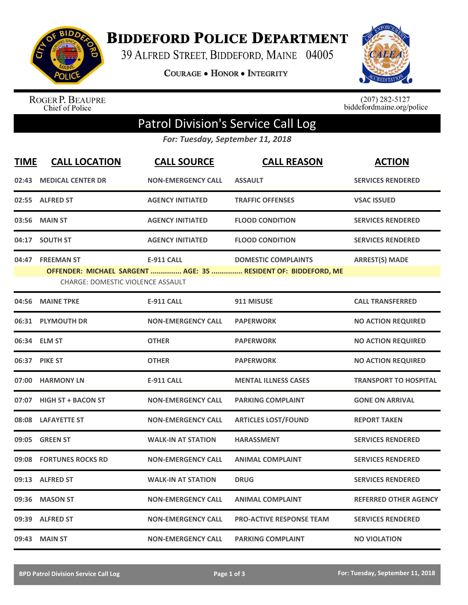

**BIDDEFORD POLICE DEPARTMENT** 

39 ALFRED STREET, BIDDEFORD, MAINE 04005

**COURAGE . HONOR . INTEGRITY** 



ROGER P. BEAUPRE<br>Chief of Police

 $(207)$  282-5127<br>biddefordmaine.org/police

## Patrol Division's Service Call Log

*For: Tuesday, September 11, 2018*

| <b>TIME</b> | <b>CALL LOCATION</b>                     | <b>CALL SOURCE</b>        | <b>CALL REASON</b>                                             | <b>ACTION</b>                |
|-------------|------------------------------------------|---------------------------|----------------------------------------------------------------|------------------------------|
| 02:43       | <b>MEDICAL CENTER DR</b>                 | <b>NON-EMERGENCY CALL</b> | <b>ASSAULT</b>                                                 | <b>SERVICES RENDERED</b>     |
|             | 02:55 ALFRED ST                          | <b>AGENCY INITIATED</b>   | <b>TRAFFIC OFFENSES</b>                                        | <b>VSAC ISSUED</b>           |
|             | 03:56 MAIN ST                            | <b>AGENCY INITIATED</b>   | <b>FLOOD CONDITION</b>                                         | <b>SERVICES RENDERED</b>     |
| 04:17       | <b>SOUTH ST</b>                          | <b>AGENCY INITIATED</b>   | <b>FLOOD CONDITION</b>                                         | <b>SERVICES RENDERED</b>     |
| 04:47       | <b>FREEMAN ST</b>                        | <b>E-911 CALL</b>         | <b>DOMESTIC COMPLAINTS</b>                                     | <b>ARREST(S) MADE</b>        |
|             | <b>CHARGE: DOMESTIC VIOLENCE ASSAULT</b> |                           | OFFENDER: MICHAEL SARGENT  AGE: 35  RESIDENT OF: BIDDEFORD, ME |                              |
| 04:56       | <b>MAINE TPKE</b>                        | <b>E-911 CALL</b>         | 911 MISUSE                                                     | <b>CALL TRANSFERRED</b>      |
|             | 06:31 PLYMOUTH DR                        | <b>NON-EMERGENCY CALL</b> | <b>PAPERWORK</b>                                               | <b>NO ACTION REQUIRED</b>    |
|             | 06:34 ELM ST                             | <b>OTHER</b>              | <b>PAPERWORK</b>                                               | <b>NO ACTION REQUIRED</b>    |
|             | 06:37 PIKE ST                            | <b>OTHER</b>              | <b>PAPERWORK</b>                                               | <b>NO ACTION REQUIRED</b>    |
| 07:00       | <b>HARMONY LN</b>                        | <b>E-911 CALL</b>         | <b>MENTAL ILLNESS CASES</b>                                    | <b>TRANSPORT TO HOSPITAL</b> |
| 07:07       | <b>HIGH ST + BACON ST</b>                | <b>NON-EMERGENCY CALL</b> | <b>PARKING COMPLAINT</b>                                       | <b>GONE ON ARRIVAL</b>       |
|             | 08:08 LAFAYETTE ST                       | <b>NON-EMERGENCY CALL</b> | <b>ARTICLES LOST/FOUND</b>                                     | <b>REPORT TAKEN</b>          |
| 09:05       | <b>GREEN ST</b>                          | <b>WALK-IN AT STATION</b> | <b>HARASSMENT</b>                                              | <b>SERVICES RENDERED</b>     |
| 09:08       | <b>FORTUNES ROCKS RD</b>                 | <b>NON-EMERGENCY CALL</b> | <b>ANIMAL COMPLAINT</b>                                        | <b>SERVICES RENDERED</b>     |
| 09:13       | <b>ALFRED ST</b>                         | <b>WALK-IN AT STATION</b> | <b>DRUG</b>                                                    | <b>SERVICES RENDERED</b>     |
| 09:36       | <b>MASON ST</b>                          | <b>NON-EMERGENCY CALL</b> | <b>ANIMAL COMPLAINT</b>                                        | <b>REFERRED OTHER AGENCY</b> |
| 09:39       | <b>ALFRED ST</b>                         | <b>NON-EMERGENCY CALL</b> | <b>PRO-ACTIVE RESPONSE TEAM</b>                                | <b>SERVICES RENDERED</b>     |
|             | 09:43 MAIN ST                            | <b>NON-EMERGENCY CALL</b> | <b>PARKING COMPLAINT</b>                                       | <b>NO VIOLATION</b>          |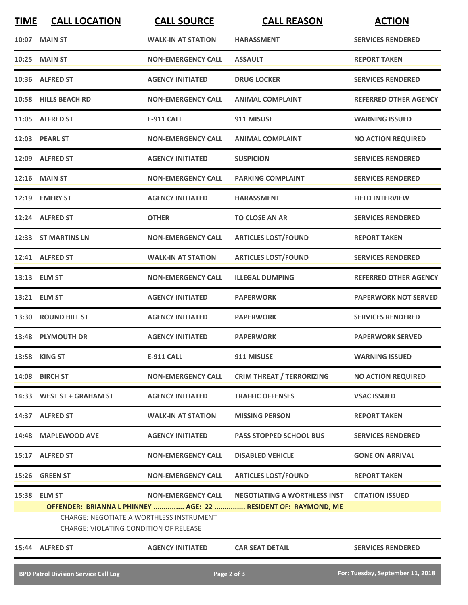| <b>TIME</b> | <b>CALL LOCATION</b>                                                                      | <b>CALL SOURCE</b>        | <b>CALL REASON</b>                                             | <b>ACTION</b>                |
|-------------|-------------------------------------------------------------------------------------------|---------------------------|----------------------------------------------------------------|------------------------------|
| 10:07       | <b>MAIN ST</b>                                                                            | <b>WALK-IN AT STATION</b> | <b>HARASSMENT</b>                                              | <b>SERVICES RENDERED</b>     |
|             | 10:25 MAIN ST                                                                             | <b>NON-EMERGENCY CALL</b> | <b>ASSAULT</b>                                                 | <b>REPORT TAKEN</b>          |
|             | 10:36 ALFRED ST                                                                           | <b>AGENCY INITIATED</b>   | <b>DRUG LOCKER</b>                                             | <b>SERVICES RENDERED</b>     |
|             | 10:58 HILLS BEACH RD                                                                      | <b>NON-EMERGENCY CALL</b> | <b>ANIMAL COMPLAINT</b>                                        | <b>REFERRED OTHER AGENCY</b> |
|             | 11:05 ALFRED ST                                                                           | <b>E-911 CALL</b>         | 911 MISUSE                                                     | <b>WARNING ISSUED</b>        |
|             | 12:03 PEARL ST                                                                            | <b>NON-EMERGENCY CALL</b> | <b>ANIMAL COMPLAINT</b>                                        | <b>NO ACTION REQUIRED</b>    |
|             | 12:09 ALFRED ST                                                                           | <b>AGENCY INITIATED</b>   | <b>SUSPICION</b>                                               | <b>SERVICES RENDERED</b>     |
|             | <b>12:16 MAIN ST</b>                                                                      | <b>NON-EMERGENCY CALL</b> | <b>PARKING COMPLAINT</b>                                       | <b>SERVICES RENDERED</b>     |
|             | 12:19 EMERY ST                                                                            | <b>AGENCY INITIATED</b>   | <b>HARASSMENT</b>                                              | <b>FIELD INTERVIEW</b>       |
|             | 12:24 ALFRED ST                                                                           | <b>OTHER</b>              | <b>TO CLOSE AN AR</b>                                          | <b>SERVICES RENDERED</b>     |
|             | 12:33 ST MARTINS LN                                                                       | <b>NON-EMERGENCY CALL</b> | <b>ARTICLES LOST/FOUND</b>                                     | <b>REPORT TAKEN</b>          |
|             | 12:41 ALFRED ST                                                                           | <b>WALK-IN AT STATION</b> | <b>ARTICLES LOST/FOUND</b>                                     | <b>SERVICES RENDERED</b>     |
|             | 13:13 ELM ST                                                                              | <b>NON-EMERGENCY CALL</b> | <b>ILLEGAL DUMPING</b>                                         | <b>REFERRED OTHER AGENCY</b> |
|             | 13:21 ELM ST                                                                              | <b>AGENCY INITIATED</b>   | <b>PAPERWORK</b>                                               | <b>PAPERWORK NOT SERVED</b>  |
|             | 13:30 ROUND HILL ST                                                                       | <b>AGENCY INITIATED</b>   | <b>PAPERWORK</b>                                               | <b>SERVICES RENDERED</b>     |
|             | 13:48 PLYMOUTH DR                                                                         | <b>AGENCY INITIATED</b>   | <b>PAPERWORK</b>                                               | <b>PAPERWORK SERVED</b>      |
|             | 13:58 KING ST                                                                             | E-911 CALL                | 911 MISUSE                                                     | <b>WARNING ISSUED</b>        |
|             | 14:08 BIRCH ST                                                                            | <b>NON-EMERGENCY CALL</b> | <b>CRIM THREAT / TERRORIZING</b>                               | <b>NO ACTION REQUIRED</b>    |
|             | 14:33 WEST ST + GRAHAM ST                                                                 | <b>AGENCY INITIATED</b>   | <b>TRAFFIC OFFENSES</b>                                        | <b>VSAC ISSUED</b>           |
|             | 14:37 ALFRED ST                                                                           | <b>WALK-IN AT STATION</b> | <b>MISSING PERSON</b>                                          | <b>REPORT TAKEN</b>          |
|             | 14:48 MAPLEWOOD AVE                                                                       | <b>AGENCY INITIATED</b>   | <b>PASS STOPPED SCHOOL BUS</b>                                 | <b>SERVICES RENDERED</b>     |
|             | 15:17 ALFRED ST                                                                           | <b>NON-EMERGENCY CALL</b> | <b>DISABLED VEHICLE</b>                                        | <b>GONE ON ARRIVAL</b>       |
|             | 15:26 GREEN ST                                                                            | <b>NON-EMERGENCY CALL</b> | <b>ARTICLES LOST/FOUND</b>                                     | <b>REPORT TAKEN</b>          |
|             | 15:38 ELM ST                                                                              | <b>NON-EMERGENCY CALL</b> | <b>NEGOTIATING A WORTHLESS INST</b>                            | <b>CITATION ISSUED</b>       |
|             | CHARGE: NEGOTIATE A WORTHLESS INSTRUMENT<br><b>CHARGE: VIOLATING CONDITION OF RELEASE</b> |                           | OFFENDER: BRIANNA L PHINNEY  AGE: 22  RESIDENT OF: RAYMOND, ME |                              |
|             | 15:44 ALFRED ST                                                                           | <b>AGENCY INITIATED</b>   | <b>CAR SEAT DETAIL</b>                                         | <b>SERVICES RENDERED</b>     |
|             |                                                                                           |                           |                                                                |                              |